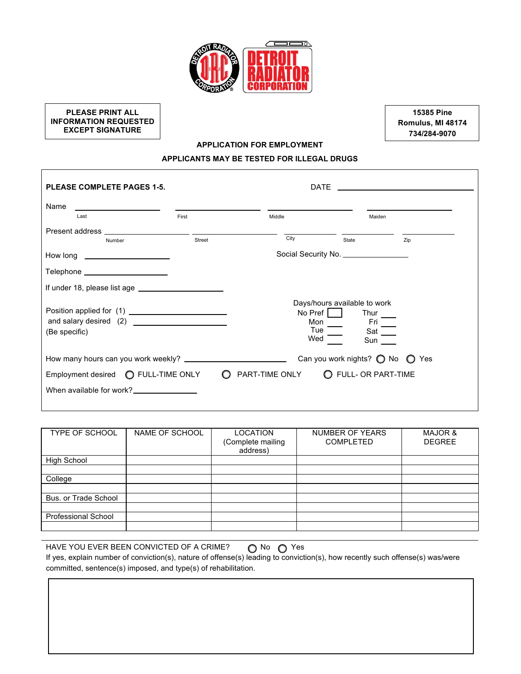

**PLEASE PRINT ALL INFORMATION REQUESTED EXCEPT SIGNATURE**

**15385 Pine Romulus, MI 48174 734/284-9070**

### **APPLICATION FOR EMPLOYMENT**

# **APPLICANTS MAY BE TESTED FOR ILLEGAL DRUGS**

| <b>PLEASE COMPLETE PAGES 1-5.</b>                                                                                                                                                                                              |          | <b>DATE</b>                  | <u> 1989 - Johann Barn, mars eta bainar eta bainar eta baina eta baina eta baina eta baina eta baina eta baina e</u> |               |
|--------------------------------------------------------------------------------------------------------------------------------------------------------------------------------------------------------------------------------|----------|------------------------------|----------------------------------------------------------------------------------------------------------------------|---------------|
| Name<br>Last                                                                                                                                                                                                                   | First    | Middle                       | Maiden                                                                                                               |               |
| Present address and the control of the control of the control of the control of the control of the control of the control of the control of the control of the control of the control of the control of the control of the con |          |                              |                                                                                                                      |               |
| Number                                                                                                                                                                                                                         | Street   | City                         | State                                                                                                                | Zip           |
| How long _______________________                                                                                                                                                                                               |          |                              | Social Security No. ________________                                                                                 |               |
| Telephone _____________________                                                                                                                                                                                                |          |                              |                                                                                                                      |               |
|                                                                                                                                                                                                                                |          |                              |                                                                                                                      |               |
| (Be specific)                                                                                                                                                                                                                  |          | No Pref<br>Mon<br>Tue<br>Wed | Days/hours available to work<br>Thur<br>Fri<br>Sat<br>Sun                                                            |               |
|                                                                                                                                                                                                                                |          |                              | Can you work nights? $\bigcirc$ No                                                                                   | Yes<br>$\cup$ |
| Employment desired <b>C</b> FULL-TIME ONLY                                                                                                                                                                                     | $\Omega$ | PART-TIME ONLY               | O FULL- OR PART-TIME                                                                                                 |               |
| When available for work?<br><u>Letter and the substitute</u>                                                                                                                                                                   |          |                              |                                                                                                                      |               |

| <b>TYPE OF SCHOOL</b>      | NAME OF SCHOOL | LOCATION<br>(Complete mailing<br>address) | NUMBER OF YEARS<br><b>COMPLETED</b> | MAJOR &<br><b>DEGREE</b> |
|----------------------------|----------------|-------------------------------------------|-------------------------------------|--------------------------|
| <b>High School</b>         |                |                                           |                                     |                          |
|                            |                |                                           |                                     |                          |
| College                    |                |                                           |                                     |                          |
|                            |                |                                           |                                     |                          |
| Bus. or Trade School       |                |                                           |                                     |                          |
|                            |                |                                           |                                     |                          |
| <b>Professional School</b> |                |                                           |                                     |                          |
|                            |                |                                           |                                     |                          |

| HAVE YOU EVER BEEN CONVICTED OF A CRIME?                                                                                      | ∩No ∩Yes |  |
|-------------------------------------------------------------------------------------------------------------------------------|----------|--|
| If yes, explain number of conviction(s), nature of offense(s) leading to conviction(s), how recently such offense(s) was/were |          |  |
| committed, sentence(s) imposed, and type(s) of rehabilitation.                                                                |          |  |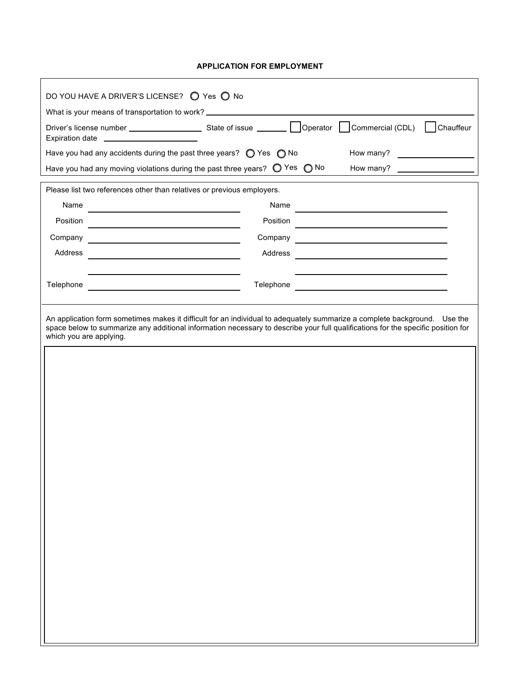## **APPLICATION FOR EMPLOYMENT**

|                                         | What is your means of transportation to work? __________________________________                                                                                                                                                                              |                                                                                                                      |
|-----------------------------------------|---------------------------------------------------------------------------------------------------------------------------------------------------------------------------------------------------------------------------------------------------------------|----------------------------------------------------------------------------------------------------------------------|
| Expiration date _______________________ |                                                                                                                                                                                                                                                               | Chauffeur                                                                                                            |
|                                         | Have you had any accidents during the past three years? $\bigcirc$ Yes $\bigcirc$ No<br>How many?                                                                                                                                                             | <u> 1999 - Johann Barbara, politik eta politik eta politik eta politik eta politik eta politik eta politik eta p</u> |
|                                         | Have you had any moving violations during the past three years? $\bigcirc$ Yes $\bigcirc$ No<br>How many?                                                                                                                                                     |                                                                                                                      |
|                                         | Please list two references other than relatives or previous employers.                                                                                                                                                                                        |                                                                                                                      |
| Name                                    | Name<br><u> 1989 - Andrea Albert III, poet e poet e provincia e a provincia e a provincia e a provincia e a provincia e</u>                                                                                                                                   |                                                                                                                      |
| Position                                | Position                                                                                                                                                                                                                                                      |                                                                                                                      |
| Company                                 | Company                                                                                                                                                                                                                                                       |                                                                                                                      |
| Address                                 | Address                                                                                                                                                                                                                                                       |                                                                                                                      |
|                                         |                                                                                                                                                                                                                                                               |                                                                                                                      |
| Telephone                               | Telephone                                                                                                                                                                                                                                                     |                                                                                                                      |
|                                         | An application form sometimes makes it difficult for an individual to adequately summarize a complete background. Use the<br>space below to summarize any additional information necessary to describe your full qualifications for the specific position for |                                                                                                                      |
|                                         |                                                                                                                                                                                                                                                               |                                                                                                                      |
|                                         |                                                                                                                                                                                                                                                               |                                                                                                                      |
|                                         |                                                                                                                                                                                                                                                               |                                                                                                                      |
|                                         |                                                                                                                                                                                                                                                               |                                                                                                                      |
| which you are applying.                 |                                                                                                                                                                                                                                                               |                                                                                                                      |
|                                         |                                                                                                                                                                                                                                                               |                                                                                                                      |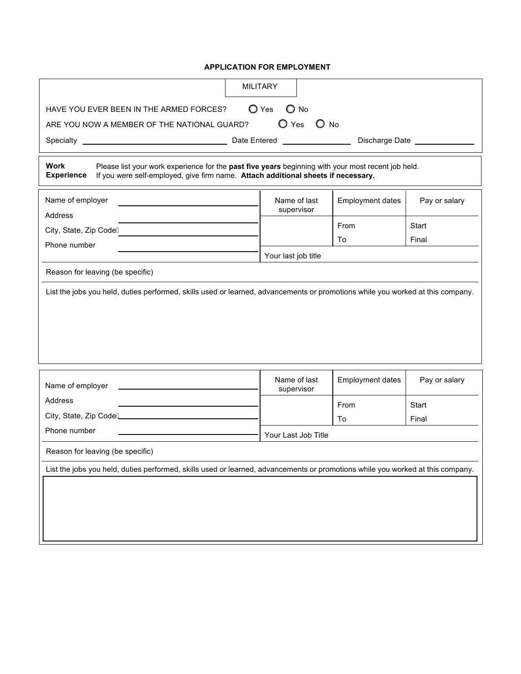### **APPLICATION FOR EMPLOYMENT**

|                                                                                                                                                                                                                      |  | <b>MILITARY</b>     |                |                         |               |
|----------------------------------------------------------------------------------------------------------------------------------------------------------------------------------------------------------------------|--|---------------------|----------------|-------------------------|---------------|
| HAVE YOU EVER BEEN IN THE ARMED FORCES?                                                                                                                                                                              |  | $\bigcirc$ Yes      | $\bigcirc$ No  |                         |               |
| ARE YOU NOW A MEMBER OF THE NATIONAL GUARD?                                                                                                                                                                          |  |                     | $O$ Yes $O$ No |                         |               |
| Discharge Date ____________                                                                                                                                                                                          |  |                     |                |                         |               |
| Work<br>Please list your work experience for the past five years beginning with your most recent job held.<br>If you were self-employed, give firm name. Attach additional sheets if necessary.<br><b>Experience</b> |  |                     |                |                         |               |
| Name of employer<br>Address                                                                                                                                                                                          |  | supervisor          | Name of last   | <b>Employment dates</b> | Pay or salary |
| City, State, Zip CodeA                                                                                                                                                                                               |  |                     |                | From                    | Start         |
| Phone number                                                                                                                                                                                                         |  |                     |                | To                      | Final         |
|                                                                                                                                                                                                                      |  | Your last job title |                |                         |               |
| Reason for leaving (be specific)                                                                                                                                                                                     |  |                     |                |                         |               |
|                                                                                                                                                                                                                      |  |                     |                |                         |               |
| Name of employer                                                                                                                                                                                                     |  | supervisor          | Name of last   | Employment dates        | Pay or salary |
| Address                                                                                                                                                                                                              |  |                     |                | From                    | Start         |
| City, State, Zip CodeA                                                                                                                                                                                               |  |                     |                | To                      | Final         |
| Phone number                                                                                                                                                                                                         |  | Your Last Job Title |                |                         |               |
| Reason for leaving (be specific)                                                                                                                                                                                     |  |                     |                |                         |               |
| List the jobs you held, duties performed, skills used or learned, advancements or promotions while you worked at this company.                                                                                       |  |                     |                |                         |               |
|                                                                                                                                                                                                                      |  |                     |                |                         |               |
|                                                                                                                                                                                                                      |  |                     |                |                         |               |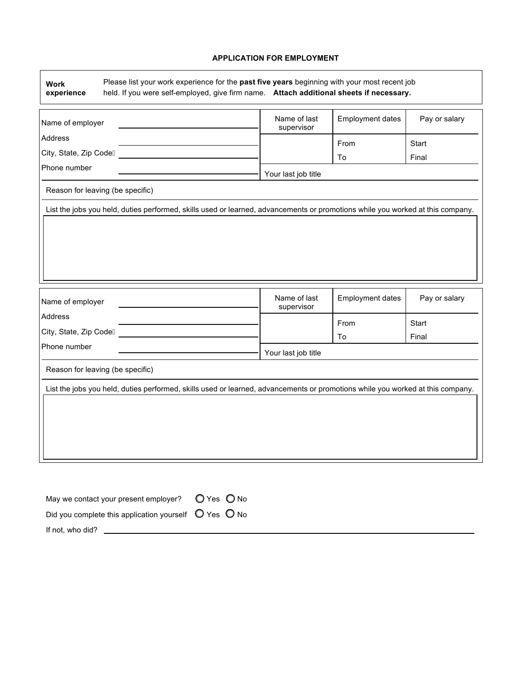### **APPLICATION FOR EMPLOYMENT**

٦

| held. If you were self-employed, give firm name. Attach additional sheets if necessary.<br>experience                          |                            |                  |               |  |
|--------------------------------------------------------------------------------------------------------------------------------|----------------------------|------------------|---------------|--|
| Name of employer                                                                                                               | Name of last<br>supervisor | Employment dates | Pay or salary |  |
| Address                                                                                                                        |                            | From             | Start         |  |
| City, State, Zip CodeÁ                                                                                                         |                            | To               | Final         |  |
| Phone number                                                                                                                   | Your last job title        |                  |               |  |
| Reason for leaving (be specific)                                                                                               |                            |                  |               |  |
| List the jobs you held, duties performed, skills used or learned, advancements or promotions while you worked at this company. |                            |                  |               |  |
|                                                                                                                                |                            |                  |               |  |
|                                                                                                                                |                            |                  |               |  |
|                                                                                                                                |                            |                  |               |  |
|                                                                                                                                |                            |                  |               |  |
|                                                                                                                                |                            |                  |               |  |
|                                                                                                                                |                            |                  |               |  |
|                                                                                                                                |                            |                  |               |  |
|                                                                                                                                |                            |                  |               |  |
|                                                                                                                                | Name of last               | Employment dates | Pay or salary |  |
|                                                                                                                                | supervisor                 |                  |               |  |
|                                                                                                                                |                            | From             | Start         |  |
|                                                                                                                                |                            | To               | Final         |  |
|                                                                                                                                | Your last job title        |                  |               |  |
| Reason for leaving (be specific)                                                                                               |                            |                  |               |  |
|                                                                                                                                |                            |                  |               |  |
| List the jobs you held, duties performed, skills used or learned, advancements or promotions while you worked at this company. |                            |                  |               |  |
|                                                                                                                                |                            |                  |               |  |
|                                                                                                                                |                            |                  |               |  |
|                                                                                                                                |                            |                  |               |  |
|                                                                                                                                |                            |                  |               |  |
| Name of employer<br>Address<br>City, State, Zip CodeÁ<br>Phone number                                                          |                            |                  |               |  |

| May we contact your present employer?                                   | $O$ Yes $O$ No |
|-------------------------------------------------------------------------|----------------|
| Did you complete this application yourself $\bigcirc$ Yes $\bigcirc$ No |                |
| If not, who did?                                                        |                |

 $\Gamma$